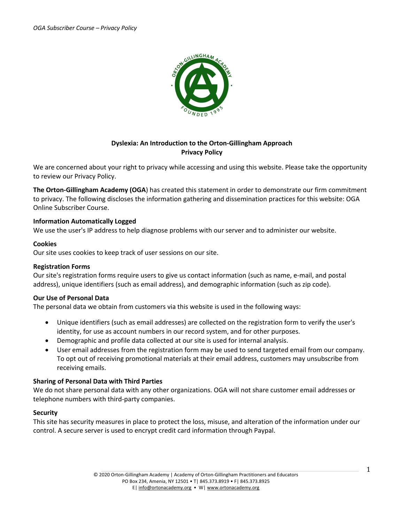

# **Dyslexia: An Introduction to the Orton-Gillingham Approach Privacy Policy**

We are concerned about your right to privacy while accessing and using this website. Please take the opportunity to review our Privacy Policy.

**The Orton-Gillingham Academy (OGA**) has created this statement in order to demonstrate our firm commitment to privacy. The following discloses the information gathering and dissemination practices for this website: OGA Online Subscriber Course.

# **Information Automatically Logged**

We use the user's IP address to help diagnose problems with our server and to administer our website.

### **Cookies**

Our site uses cookies to keep track of user sessions on our site.

### **Registration Forms**

Our site's registration forms require users to give us contact information (such as name, e-mail, and postal address), unique identifiers (such as email address), and demographic information (such as zip code).

### **Our Use of Personal Data**

The personal data we obtain from customers via this website is used in the following ways:

- Unique identifiers (such as email addresses) are collected on the registration form to verify the user's identity, for use as account numbers in our record system, and for other purposes.
- Demographic and profile data collected at our site is used for internal analysis.
- User email addresses from the registration form may be used to send targeted email from our company. To opt out of receiving promotional materials at their email address, customers may unsubscribe from receiving emails.

### **Sharing of Personal Data with Third Parties**

We do not share personal data with any other organizations. OGA will not share customer email addresses or telephone numbers with third-party companies.

### **Security**

This site has security measures in place to protect the loss, misuse, and alteration of the information under our control. A secure server is used to encrypt credit card information through Paypal.